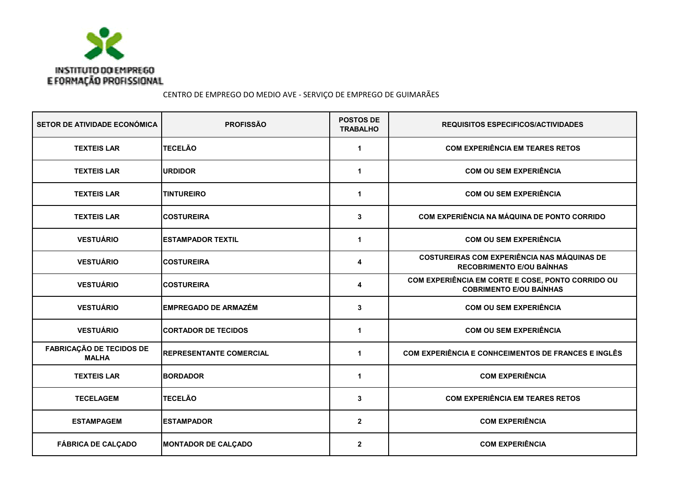

CENTRO DE EMPREGO DO MEDIO AVE - SERVIÇO DE EMPREGO DE GUIMARÃES

| SETOR DE ATIVIDADE ECONÓMICA                    | <b>PROFISSÃO</b>                | <b>POSTOS DE</b><br><b>TRABALHO</b> | <b>REQUISITOS ESPECIFICOS/ACTIVIDADES</b>                                              |
|-------------------------------------------------|---------------------------------|-------------------------------------|----------------------------------------------------------------------------------------|
| <b>TEXTEIS LAR</b>                              | <b>TECELÃO</b>                  | 1                                   | <b>COM EXPERIÊNCIA EM TEARES RETOS</b>                                                 |
| <b>TEXTEIS LAR</b>                              | <b>URDIDOR</b>                  | 1                                   | <b>COM OU SEM EXPERIÊNCIA</b>                                                          |
| <b>TEXTEIS LAR</b>                              | <b>TINTUREIRO</b>               | $\mathbf{1}$                        | <b>COM OU SEM EXPERIÊNCIA</b>                                                          |
| <b>TEXTEIS LAR</b>                              | <b>COSTUREIRA</b>               | 3                                   | COM EXPERIÊNCIA NA MÁQUINA DE PONTO CORRIDO                                            |
| <b>VESTUÁRIO</b>                                | <b>IESTAMPADOR TEXTIL</b>       | 1                                   | <b>COM OU SEM EXPERIÊNCIA</b>                                                          |
| <b>VESTUÁRIO</b>                                | <b>COSTUREIRA</b>               | 4                                   | <b>COSTUREIRAS COM EXPERIÊNCIA NAS MÁQUINAS DE</b><br><b>RECOBRIMENTO E/OU BAÍNHAS</b> |
| <b>VESTUÁRIO</b>                                | <b>COSTUREIRA</b>               | 4                                   | COM EXPERIÊNCIA EM CORTE E COSE, PONTO CORRIDO OU<br><b>COBRIMENTO E/OU BAÍNHAS</b>    |
| <b>VESTUÁRIO</b>                                | <b>EMPREGADO DE ARMAZÉM</b>     | 3                                   | <b>COM OU SEM EXPERIÊNCIA</b>                                                          |
| <b>VESTUÁRIO</b>                                | <b>ICORTADOR DE TECIDOS</b>     | 1                                   | <b>COM OU SEM EXPERIÊNCIA</b>                                                          |
| <b>FABRICAÇÃO DE TECIDOS DE</b><br><b>MALHA</b> | <b>IREPRESENTANTE COMERCIAL</b> | 1                                   | COM EXPERIÊNCIA E CONHCEIMENTOS DE FRANCES E INGLÊS                                    |
| <b>TEXTEIS LAR</b>                              | <b>BORDADOR</b>                 | 1                                   | <b>COM EXPERIÊNCIA</b>                                                                 |
| <b>TECELAGEM</b>                                | <b>TECELÃO</b>                  | 3                                   | <b>COM EXPERIÊNCIA EM TEARES RETOS</b>                                                 |
| <b>ESTAMPAGEM</b>                               | <b>ESTAMPADOR</b>               | $\boldsymbol{2}$                    | <b>COM EXPERIÊNCIA</b>                                                                 |
| <b>FÁBRICA DE CALÇADO</b>                       | <b>MONTADOR DE CALÇADO</b>      | $\mathbf{2}$                        | <b>COM EXPERIÊNCIA</b>                                                                 |